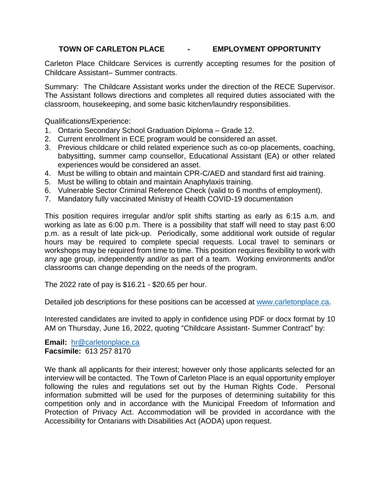## **TOWN OF CARLETON PLACE - EMPLOYMENT OPPORTUNITY**

Carleton Place Childcare Services is currently accepting resumes for the position of Childcare Assistant– Summer contracts.

Summary: The Childcare Assistant works under the direction of the RECE Supervisor. The Assistant follows directions and completes all required duties associated with the classroom, housekeeping, and some basic kitchen/laundry responsibilities.

Qualifications/Experience:

- 1. Ontario Secondary School Graduation Diploma Grade 12.
- 2. Current enrollment in ECE program would be considered an asset.
- 3. Previous childcare or child related experience such as co-op placements, coaching, babysitting, summer camp counsellor, Educational Assistant (EA) or other related experiences would be considered an asset.
- 4. Must be willing to obtain and maintain CPR-C/AED and standard first aid training.
- 5. Must be willing to obtain and maintain Anaphylaxis training.
- 6. Vulnerable Sector Criminal Reference Check (valid to 6 months of employment).
- 7. Mandatory fully vaccinated Ministry of Health COVID-19 documentation

This position requires irregular and/or split shifts starting as early as 6:15 a.m. and working as late as 6:00 p.m. There is a possibility that staff will need to stay past 6:00 p.m. as a result of late pick-up. Periodically, some additional work outside of regular hours may be required to complete special requests. Local travel to seminars or workshops may be required from time to time. This position requires flexibility to work with any age group, independently and/or as part of a team. Working environments and/or classrooms can change depending on the needs of the program.

The 2022 rate of pay is \$16.21 - \$20.65 per hour.

Detailed job descriptions for these positions can be accessed at [www.carletonplace.ca.](http://www.carletonplace.ca/)

Interested candidates are invited to apply in confidence using PDF or docx format by 10 AM on Thursday, June 16, 2022, quoting "Childcare Assistant- Summer Contract" by:

**Email:** [hr@carletonplace.ca](mailto:hr@carletonplace.ca) **Facsimile:** 613 257 8170

We thank all applicants for their interest; however only those applicants selected for an interview will be contacted. The Town of Carleton Place is an equal opportunity employer following the rules and regulations set out by the Human Rights Code. Personal information submitted will be used for the purposes of determining suitability for this competition only and in accordance with the Municipal Freedom of Information and Protection of Privacy Act. Accommodation will be provided in accordance with the Accessibility for Ontarians with Disabilities Act (AODA) upon request.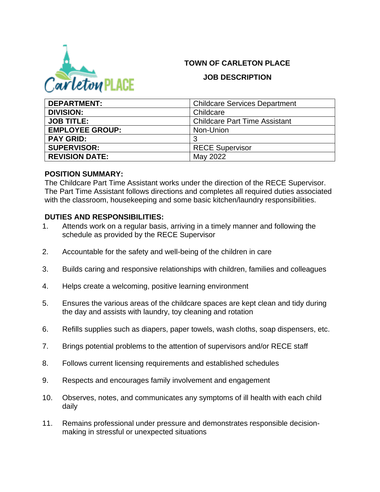## **TOWN OF CARLETON PLACE**



### **JOB DESCRIPTION**

| <b>DEPARTMENT:</b>     | <b>Childcare Services Department</b> |
|------------------------|--------------------------------------|
| <b>DIVISION:</b>       | Childcare                            |
| <b>JOB TITLE:</b>      | <b>Childcare Part Time Assistant</b> |
| <b>EMPLOYEE GROUP:</b> | Non-Union                            |
| <b>PAY GRID:</b>       | 3                                    |
| <b>SUPERVISOR:</b>     | <b>RECE Supervisor</b>               |
| <b>REVISION DATE:</b>  | May 2022                             |

#### **POSITION SUMMARY:**

The Childcare Part Time Assistant works under the direction of the RECE Supervisor. The Part Time Assistant follows directions and completes all required duties associated with the classroom, housekeeping and some basic kitchen/laundry responsibilities.

## **DUTIES AND RESPONSIBILITIES:**

- 1. Attends work on a regular basis, arriving in a timely manner and following the schedule as provided by the RECE Supervisor
- 2. Accountable for the safety and well-being of the children in care
- 3. Builds caring and responsive relationships with children, families and colleagues
- 4. Helps create a welcoming, positive learning environment
- 5. Ensures the various areas of the childcare spaces are kept clean and tidy during the day and assists with laundry, toy cleaning and rotation
- 6. Refills supplies such as diapers, paper towels, wash cloths, soap dispensers, etc.
- 7. Brings potential problems to the attention of supervisors and/or RECE staff
- 8. Follows current licensing requirements and established schedules
- 9. Respects and encourages family involvement and engagement
- 10. Observes, notes, and communicates any symptoms of ill health with each child daily
- 11. Remains professional under pressure and demonstrates responsible decisionmaking in stressful or unexpected situations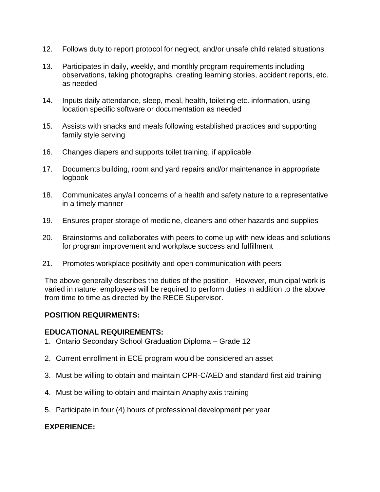- 12. Follows duty to report protocol for neglect, and/or unsafe child related situations
- 13. Participates in daily, weekly, and monthly program requirements including observations, taking photographs, creating learning stories, accident reports, etc. as needed
- 14. Inputs daily attendance, sleep, meal, health, toileting etc. information, using location specific software or documentation as needed
- 15. Assists with snacks and meals following established practices and supporting family style serving
- 16. Changes diapers and supports toilet training, if applicable
- 17. Documents building, room and yard repairs and/or maintenance in appropriate logbook
- 18. Communicates any/all concerns of a health and safety nature to a representative in a timely manner
- 19. Ensures proper storage of medicine, cleaners and other hazards and supplies
- 20. Brainstorms and collaborates with peers to come up with new ideas and solutions for program improvement and workplace success and fulfillment
- 21. Promotes workplace positivity and open communication with peers

The above generally describes the duties of the position. However, municipal work is varied in nature; employees will be required to perform duties in addition to the above from time to time as directed by the RECE Supervisor.

### **POSITION REQUIRMENTS:**

#### **EDUCATIONAL REQUIREMENTS:**

- 1. Ontario Secondary School Graduation Diploma Grade 12
- 2. Current enrollment in ECE program would be considered an asset
- 3. Must be willing to obtain and maintain CPR-C/AED and standard first aid training
- 4. Must be willing to obtain and maintain Anaphylaxis training
- 5. Participate in four (4) hours of professional development per year

### **EXPERIENCE:**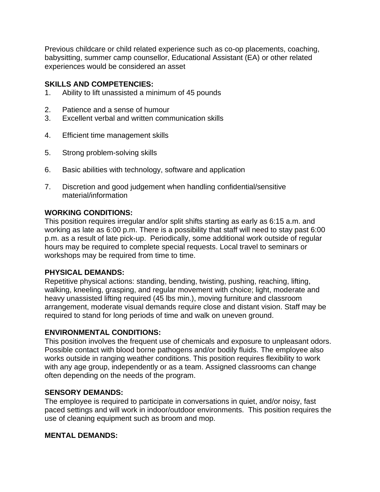Previous childcare or child related experience such as co-op placements, coaching, babysitting, summer camp counsellor, Educational Assistant (EA) or other related experiences would be considered an asset

### **SKILLS AND COMPETENCIES:**

- 1. Ability to lift unassisted a minimum of 45 pounds
- 2. Patience and a sense of humour
- 3. Excellent verbal and written communication skills
- 4. Efficient time management skills
- 5. Strong problem-solving skills
- 6. Basic abilities with technology, software and application
- 7. Discretion and good judgement when handling confidential/sensitive material/information

## **WORKING CONDITIONS:**

This position requires irregular and/or split shifts starting as early as 6:15 a.m. and working as late as 6:00 p.m. There is a possibility that staff will need to stay past 6:00 p.m. as a result of late pick-up. Periodically, some additional work outside of regular hours may be required to complete special requests. Local travel to seminars or workshops may be required from time to time.

### **PHYSICAL DEMANDS:**

Repetitive physical actions: standing, bending, twisting, pushing, reaching, lifting, walking, kneeling, grasping, and regular movement with choice; light, moderate and heavy unassisted lifting required (45 lbs min.), moving furniture and classroom arrangement, moderate visual demands require close and distant vision. Staff may be required to stand for long periods of time and walk on uneven ground.

### **ENVIRONMENTAL CONDITIONS:**

This position involves the frequent use of chemicals and exposure to unpleasant odors. Possible contact with blood borne pathogens and/or bodily fluids. The employee also works outside in ranging weather conditions. This position requires flexibility to work with any age group, independently or as a team. Assigned classrooms can change often depending on the needs of the program.

### **SENSORY DEMANDS:**

The employee is required to participate in conversations in quiet, and/or noisy, fast paced settings and will work in indoor/outdoor environments. This position requires the use of cleaning equipment such as broom and mop.

# **MENTAL DEMANDS:**